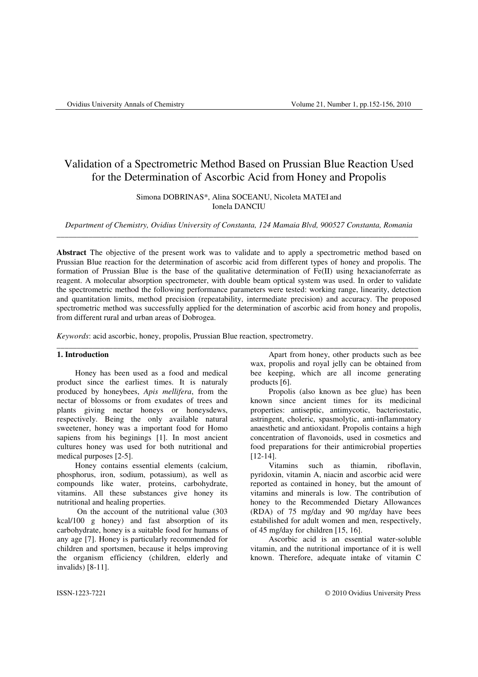# Validation of a Spectrometric Method Based on Prussian Blue Reaction Used for the Determination of Ascorbic Acid from Honey and Propolis

# Simona DOBRINAS\*, Alina SOCEANU, Nicoleta MATEI and Ionela DANCIU

*Department of Chemistry, Ovidius University of Constanta, 124 Mamaia Blvd, 900527 Constanta, Romania*  \_\_\_\_\_\_\_\_\_\_\_\_\_\_\_\_\_\_\_\_\_\_\_\_\_\_\_\_\_\_\_\_\_\_\_\_\_\_\_\_\_\_\_\_\_\_\_\_\_\_\_\_\_\_\_\_\_\_\_\_\_\_\_\_\_\_\_\_\_\_\_\_\_\_\_\_\_\_\_\_\_\_\_\_\_\_\_\_\_\_

**Abstract** The objective of the present work was to validate and to apply a spectrometric method based on Prussian Blue reaction for the determination of ascorbic acid from different types of honey and propolis. The formation of Prussian Blue is the base of the qualitative determination of  $Fe(II)$  using hexacianoferrate as reagent. A molecular absorption spectrometer, with double beam optical system was used. In order to validate the spectrometric method the following performance parameters were tested: working range, linearity, detection and quantitation limits, method precision (repeatability, intermediate precision) and accuracy. The proposed spectrometric method was successfully applied for the determination of ascorbic acid from honey and propolis, from different rural and urban areas of Dobrogea.

*Keywords*: acid ascorbic, honey, propolis, Prussian Blue reaction, spectrometry.

# **1. Introduction**

Honey has been used as a food and medical product since the earliest times. It is naturaly produced by honeybees, *Apis mellifera*, from the nectar of blossoms or from exudates of trees and plants giving nectar honeys or honeysdews, respectively. Being the only available natural sweetener, honey was a important food for Homo sapiens from his beginings [1]. In most ancient cultures honey was used for both nutritional and medical purposes [2-5].

Honey contains essential elements (calcium, phosphorus, iron, sodium, potassium), as well as compounds like water, proteins, carbohydrate, vitamins. All these substances give honey its nutritional and healing properties.

 On the account of the nutritional value (303 kcal/100 g honey) and fast absorption of its carbohydrate, honey is a suitable food for humans of any age [7]. Honey is particularly recommended for children and sportsmen, because it helps improving the organism efficiency (children, elderly and invalids) [8-11].

\_\_\_\_\_\_\_\_\_\_\_\_\_\_\_\_\_\_\_\_\_\_\_\_\_\_\_\_\_\_\_\_\_\_\_\_\_\_\_\_\_\_\_\_\_\_\_\_\_\_\_\_\_\_\_\_\_\_\_\_\_\_\_\_\_\_\_\_\_\_\_\_\_\_\_\_\_\_\_\_\_\_\_\_\_\_\_\_\_\_ Apart from honey, other products such as bee wax, propolis and royal jelly can be obtained from bee keeping, which are all income generating products [6].

Propolis (also known as bee glue) has been known since ancient times for its medicinal properties: antiseptic, antimycotic, bacteriostatic, astringent, choleric, spasmolytic, anti-inflammatory anaesthetic and antioxidant. Propolis contains a high concentration of flavonoids, used in cosmetics and food preparations for their antimicrobial properties [12-14].

Vitamins such as thiamin, riboflavin, pyridoxin, vitamin A, niacin and ascorbic acid were reported as contained in honey, but the amount of vitamins and minerals is low. The contribution of honey to the Recommended Dietary Allowances (RDA) of 75 mg/day and 90 mg/day have bees estabilished for adult women and men, respectively, of 45 mg/day for children [15, 16].

Ascorbic acid is an essential water-soluble vitamin, and the nutritional importance of it is well known. Therefore, adequate intake of vitamin C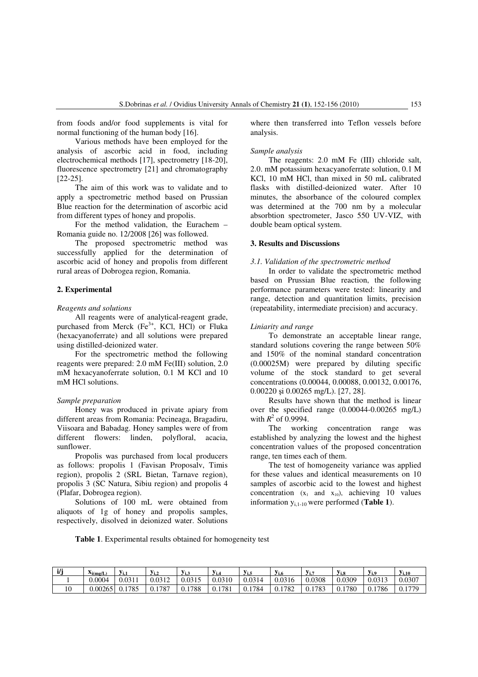from foods and/or food supplements is vital for normal functioning of the human body [16].

Various methods have been employed for the analysis of ascorbic acid in food, including electrochemical methods [17], spectrometry [18-20], fluorescence spectrometry [21] and chromatography [22-25].

The aim of this work was to validate and to apply a spectrometric method based on Prussian Blue reaction for the determination of ascorbic acid from different types of honey and propolis.

For the method validation, the Eurachem – Romania guide no. 12/2008 [26] was followed.

The proposed spectrometric method was successfully applied for the determination of ascorbic acid of honey and propolis from different rural areas of Dobrogea region, Romania.

# **2. Experimental**

#### *Reagents and solutions*

All reagents were of analytical-reagent grade, purchased from Merck  $(Fe<sup>3+</sup>, KCl, HCl)$  or Fluka (hexacyanoferrate) and all solutions were prepared using distilled-deionized water.

For the spectrometric method the following reagents were prepared: 2.0 mM Fe(III) solution, 2.0 mM hexacyanoferrate solution, 0.1 M KCl and 10 mM HCl solutions.

#### *Sample preparation*

Honey was produced in private apiary from different areas from Romania: Pecineaga, Bragadiru, Viisoara and Babadag. Honey samples were of from different flowers: linden, polyfloral, acacia, sunflower.

Propolis was purchased from local producers as follows: propolis 1 (Favisan Proposalv, Timis region), propolis 2 (SRL Bietan, Tarnave region), propolis 3 (SC Natura, Sibiu region) and propolis 4 (Plafar, Dobrogea region).

Solutions of 100 mL were obtained from aliquots of 1g of honey and propolis samples, respectively, disolved in deionized water. Solutions where then transferred into Teflon vessels before analysis.

#### *Sample analysis*

The reagents: 2.0 mM Fe (III) chloride salt, 2.0. mM potassium hexacyanoferrate solution, 0.1 M KCl, 10 mM HCl, than mixed in 50 mL calibrated flasks with distilled-deionized water. After 10 minutes, the absorbance of the coloured complex was determined at the 700 nm by a molecular absorbtion spectrometer, Jasco 550 UV-VIZ, with double beam optical system.

#### **3. Results and Discussions**

### *3.1. Validation of the spectrometric method*

In order to validate the spectrometric method based on Prussian Blue reaction, the following performance parameters were tested: linearity and range, detection and quantitation limits, precision (repeatability, intermediate precision) and accuracy.

#### *Liniarity and range*

To demonstrate an acceptable linear range, standard solutions covering the range between 50% and 150% of the nominal standard concentration (0.00025M) were prepared by diluting specific volume of the stock standard to get several concentrations (0.00044, 0.00088, 0.00132, 0.00176, 0.00220 şi 0.00265 mg/L). [27, 28].

Results have shown that the method is linear over the specified range (0.00044-0.00265 mg/L) with  $R^2$  of 0.9994.

The working concentration range was established by analyzing the lowest and the highest concentration values of the proposed concentration range, ten times each of them.

The test of homogeneity variance was applied for these values and identical measurements on 10 samples of ascorbic acid to the lowest and highest concentration  $(x_1 \text{ and } x_{10})$ , achieving 10 values information yi,1-10 were performed (**Table 1**).

**Table 1**. Experimental results obtained for homogeneity test

| i/i | $X_i(mg/L)$ | V:<br>, , , | $y_{1,2}$    | - 1.3  | $V_{1.4}$   | y <sub>i.5</sub> | V1.6        | . .         | Yi.8        | $y_{i.9}$   | $V_{i,10}$   |
|-----|-------------|-------------|--------------|--------|-------------|------------------|-------------|-------------|-------------|-------------|--------------|
|     | 0.0004      | 0.0311      | 0.0312       | 0.0315 | 0.0310      | 0.0314           | 0.0316      | 0.0308      | 0.0309      | 0.0313      | 0.0307       |
| 1Ο  | 0.00265     | 0.1785      | .1787<br>U.I | 0.1788 | 1781<br>0.1 | 1784<br>0.1      | 1782<br>0.1 | 1783<br>0.1 | 1780<br>0.1 | 1786<br>0.1 | 1770<br>V.I. |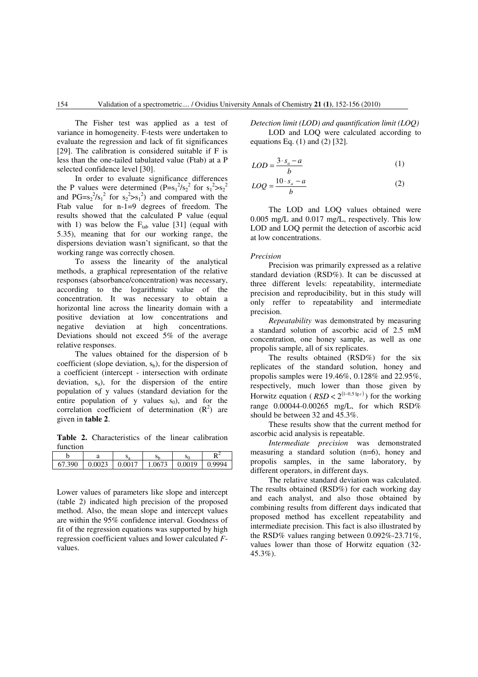The Fisher test was applied as a test of variance in homogeneity. F-tests were undertaken to evaluate the regression and lack of fit significances [29]. The calibration is considered suitable if F is less than the one-tailed tabulated value (Ftab) at a P selected confidence level [30].

In order to evaluate significance differences the P values were determined  $(P=s_1^2/s_2^2$  for  $s_1^2>s_2^2$ and  $PG = s_2^2/s_1^2$  for  $s_2^2>s_1^2$  and compared with the Ftab value for n-1=9 degrees of freedom. The results showed that the calculated P value (equal with 1) was below the  $F<sub>tab</sub>$  value [31] (equal with 5.35), meaning that for our working range, the dispersions deviation wasn't significant, so that the working range was correctly chosen.

To assess the linearity of the analytical methods, a graphical representation of the relative responses (absorbance/concentration) was necessary, according to the logarithmic value of the concentration. It was necessary to obtain a horizontal line across the linearity domain with a positive deviation at low concentrations and negative deviation at high concentrations. Deviations should not exceed 5% of the average relative responses.

The values obtained for the dispersion of b coefficient (slope deviation,  $s<sub>b</sub>$ ), for the dispersion of a coefficient (intercept - intersection with ordinate deviation,  $s_a$ ), for the dispersion of the entire population of y values (standard deviation for the entire population of y values  $s_0$ ), and for the correlation coefficient of determination  $(R^2)$  are given in **table 2**.

**Table 2.** Characteristics of the linear calibration function

| 67.300 | 0.0023 | 0.0017 | 0673 | 0.0019 | $QQQ\Delta$ |
|--------|--------|--------|------|--------|-------------|

Lower values of parameters like slope and intercept (table 2) indicated high precision of the proposed method. Also, the mean slope and intercept values are within the 95% confidence interval. Goodness of fit of the regression equations was supported by high regression coefficient values and lower calculated *F*values.

*Detection limit (LOD) and quantification limit (LOQ)*  LOD and LOQ were calculated according to equations Eq.  $(1)$  and  $(2)$  [32].

$$
LOD = \frac{3 \cdot s_a - a}{b} \tag{1}
$$

$$
LOQ = \frac{10 \cdot s_a - a}{b} \tag{2}
$$

The LOD and LOQ values obtained were 0.005 mg/L and 0.017 mg/L, respectively. This low LOD and LOQ permit the detection of ascorbic acid at low concentrations.

#### *Precision*

Precision was primarily expressed as a relative standard deviation (RSD%). It can be discussed at three different levels: repeatability, intermediate precision and reproducibility, but in this study will only reffer to repeatability and intermediate precision.

*Repeatability* was demonstrated by measuring a standard solution of ascorbic acid of 2.5 mM concentration, one honey sample, as well as one propolis sample, all of six replicates.

The results obtained (RSD%) for the six replicates of the standard solution, honey and propolis samples were 19.46%, 0.128% and 22.95%, respectively, much lower than those given by Horwitz equation ( $RSD < 2^{(1-0.5 \lg c)}$ ) for the working range  $0.00044 - 0.00265$  mg/L, for which  $RSD\%$ should be between 32 and 45.3%.

These results show that the current method for ascorbic acid analysis is repeatable.

*Intermediate precision* was demonstrated measuring a standard solution (n=6), honey and propolis samples, in the same laboratory, by different operators, in different days.

The relative standard deviation was calculated. The results obtained (RSD%) for each working day and each analyst, and also those obtained by combining results from different days indicated that proposed method has excellent repeatability and intermediate precision. This fact is also illustrated by the RSD% values ranging between 0.092%-23.71%, values lower than those of Horwitz equation (32- 45.3%).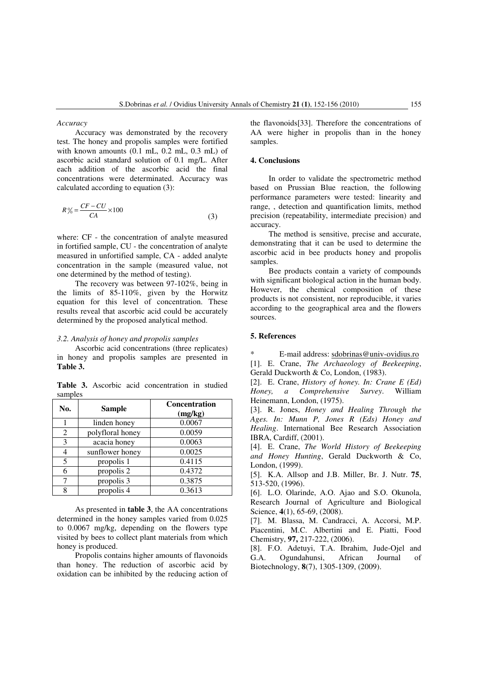*Accuracy* 

Accuracy was demonstrated by the recovery test. The honey and propolis samples were fortified with known amounts (0.1 mL, 0.2 mL, 0.3 mL) of ascorbic acid standard solution of 0.1 mg/L. After each addition of the ascorbic acid the final concentrations were determinated. Accuracy was calculated according to equation (3):

$$
R\% = \frac{CF - CU}{CA} \times 100\tag{3}
$$

where: CF - the concentration of analyte measured in fortified sample, CU - the concentration of analyte measured in unfortified sample, CA - added analyte concentration in the sample (measured value, not one determined by the method of testing).

The recovery was between 97-102%, being in the limits of 85-110%, given by the Horwitz equation for this level of concentration. These results reveal that ascorbic acid could be accurately determined by the proposed analytical method.

## *3.2. Analysis of honey and propolis samples*

Ascorbic acid concentrations (three replicates) in honey and propolis samples are presented in **Table 3.**

**Table 3.** Ascorbic acid concentration in studied samples

| No. | <b>Sample</b>    | <b>Concentration</b><br>(mg/kg) |  |  |
|-----|------------------|---------------------------------|--|--|
|     | linden honey     | 0.0067                          |  |  |
| 2   | polyfloral honey | 0.0059                          |  |  |
| 3   | acacia honey     | 0.0063                          |  |  |
| 4   | sunflower honey  | 0.0025                          |  |  |
| 5   | propolis 1       | 0.4115                          |  |  |
|     | propolis 2       | 0.4372                          |  |  |
|     | propolis 3       | 0.3875                          |  |  |
| o   | propolis 4       | 0.3613                          |  |  |

As presented in **table 3**, the AA concentrations determined in the honey samples varied from 0.025 to 0.0067 mg/kg, depending on the flowers type visited by bees to collect plant materials from which honey is produced.

Propolis contains higher amounts of flavonoids than honey. The reduction of ascorbic acid by oxidation can be inhibited by the reducing action of the flavonoids[33]. Therefore the concentrations of AA were higher in propolis than in the honey samples.

### **4. Conclusions**

In order to validate the spectrometric method based on Prussian Blue reaction, the following performance parameters were tested: linearity and range, , detection and quantification limits, method precision (repeatability, intermediate precision) and accuracy.

The method is sensitive, precise and accurate, demonstrating that it can be used to determine the ascorbic acid in bee products honey and propolis samples.

Bee products contain a variety of compounds with significant biological action in the human body. However, the chemical composition of these products is not consistent, nor reproducible, it varies according to the geographical area and the flowers sources.

# **5. References**

\* E-mail address: sdobrinas@univ-ovidius.ro [1]. E. Crane, *The Archaeology of Beekeeping*, Gerald Duckworth & Co, London, (1983).

[2]. E. Crane, *History of honey. In: Crane E (Ed) Honey, a Comprehensive Survey.* Heinemann, London, (1975).

[3]. R. Jones, *Honey and Healing Through the Ages. In: Munn P, Jones R (Eds) Honey and Healing*. International Bee Research Association IBRA, Cardiff, (2001).

[4]. E. Crane, *The World History of Beekeeping and Honey Hunting*, Gerald Duckworth & Co, London, (1999).

[5]. K.A. Allsop and J.B. Miller, Br. J. Nutr. **75**, 513-520, (1996).

[6]. L.O. Olarinde, A.O. Ajao and S.O. Okunola, Research Journal of Agriculture and Biological Science, **4**(1), 65-69, (2008).

[7]. M. Blassa, M. Candracci, A. Accorsi, M.P. Piacentini, M.C. Albertini and E. Piatti, Food Chemistry, **97,** 217-222, (2006).

[8]. F.O. Adetuyi, T.A. Ibrahim, Jude-Ojel and G.A. Ogundahunsi, African Journal of Biotechnology, **8**(7), 1305-1309, (2009).